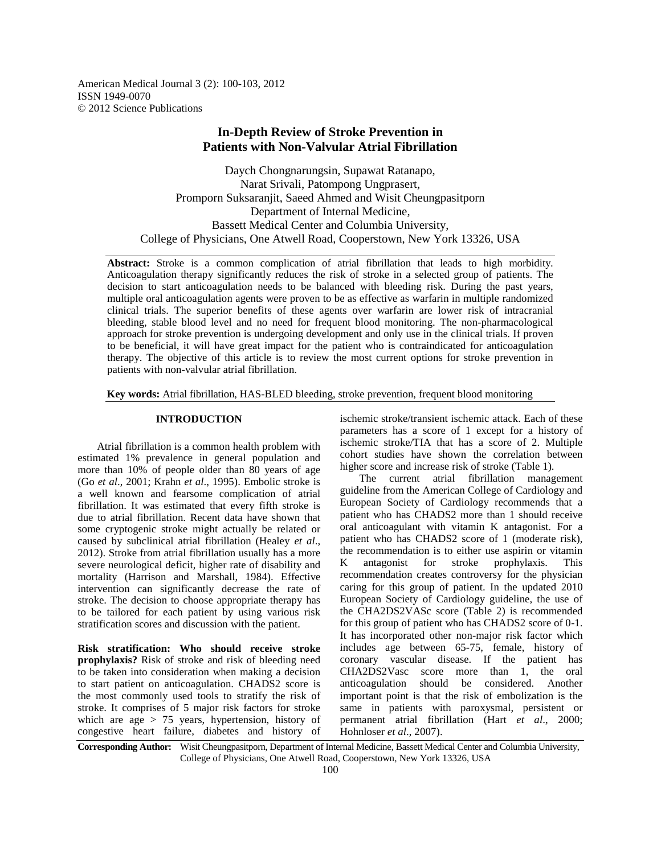American Medical Journal 3 (2): 100-103, 2012 ISSN 1949-0070 © 2012 Science Publications

## **In-Depth Review of Stroke Prevention in Patients with Non-Valvular Atrial Fibrillation**

Daych Chongnarungsin, Supawat Ratanapo, Narat Srivali, Patompong Ungprasert, Promporn Suksaranjit, Saeed Ahmed and Wisit Cheungpasitporn Department of Internal Medicine, Bassett Medical Center and Columbia University, College of Physicians, One Atwell Road, Cooperstown, New York 13326, USA

**Abstract:** Stroke is a common complication of atrial fibrillation that leads to high morbidity. Anticoagulation therapy significantly reduces the risk of stroke in a selected group of patients. The decision to start anticoagulation needs to be balanced with bleeding risk. During the past years, multiple oral anticoagulation agents were proven to be as effective as warfarin in multiple randomized clinical trials. The superior benefits of these agents over warfarin are lower risk of intracranial bleeding, stable blood level and no need for frequent blood monitoring. The non-pharmacological approach for stroke prevention is undergoing development and only use in the clinical trials. If proven to be beneficial, it will have great impact for the patient who is contraindicated for anticoagulation therapy. The objective of this article is to review the most current options for stroke prevention in patients with non-valvular atrial fibrillation.

**Key words:** Atrial fibrillation, HAS-BLED bleeding, stroke prevention, frequent blood monitoring

## **INTRODUCTION**

 Atrial fibrillation is a common health problem with estimated 1% prevalence in general population and more than 10% of people older than 80 years of age (Go *et al*., 2001; Krahn *et al*., 1995). Embolic stroke is a well known and fearsome complication of atrial fibrillation. It was estimated that every fifth stroke is due to atrial fibrillation. Recent data have shown that some cryptogenic stroke might actually be related or caused by subclinical atrial fibrillation (Healey *et al*., 2012). Stroke from atrial fibrillation usually has a more severe neurological deficit, higher rate of disability and mortality (Harrison and Marshall, 1984). Effective intervention can significantly decrease the rate of stroke. The decision to choose appropriate therapy has to be tailored for each patient by using various risk stratification scores and discussion with the patient.

**Risk stratification: Who should receive stroke prophylaxis?** Risk of stroke and risk of bleeding need to be taken into consideration when making a decision to start patient on anticoagulation. CHADS2 score is the most commonly used tools to stratify the risk of stroke. It comprises of 5 major risk factors for stroke which are age  $> 75$  years, hypertension, history of congestive heart failure, diabetes and history of

ischemic stroke/transient ischemic attack. Each of these parameters has a score of 1 except for a history of ischemic stroke/TIA that has a score of 2. Multiple cohort studies have shown the correlation between higher score and increase risk of stroke (Table 1).

 The current atrial fibrillation management guideline from the American College of Cardiology and European Society of Cardiology recommends that a patient who has CHADS2 more than 1 should receive oral anticoagulant with vitamin K antagonist. For a patient who has CHADS2 score of 1 (moderate risk), the recommendation is to either use aspirin or vitamin<br>K antagonist for stroke prophylaxis. This K antagonist for stroke prophylaxis. This recommendation creates controversy for the physician caring for this group of patient. In the updated 2010 European Society of Cardiology guideline, the use of the CHA2DS2VASc score (Table 2) is recommended for this group of patient who has CHADS2 score of 0-1. It has incorporated other non-major risk factor which includes age between 65-75, female, history of coronary vascular disease. If the patient has CHA2DS2Vasc score more than 1, the oral anticoagulation should be considered. Another important point is that the risk of embolization is the same in patients with paroxysmal, persistent or permanent atrial fibrillation (Hart *et al*., 2000; Hohnloser *et al*., 2007).

**Corresponding Author:** Wisit Cheungpasitporn, Department of Internal Medicine, Bassett Medical Center and Columbia University, College of Physicians, One Atwell Road, Cooperstown, New York 13326, USA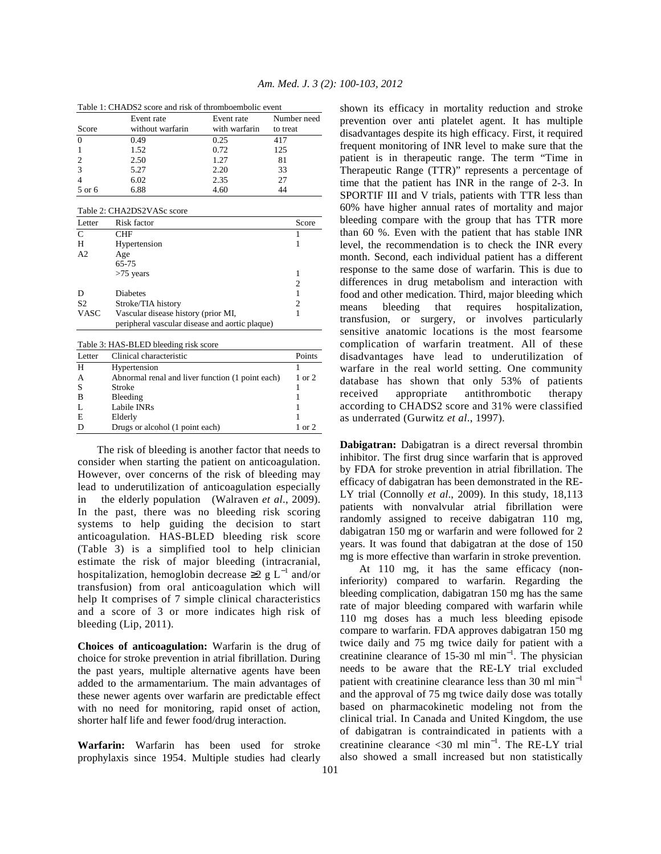| Table 1: CHADS2 score and risk of thromboembolic event |  |
|--------------------------------------------------------|--|
|--------------------------------------------------------|--|

| Table 1. CHAD32 Scote and HSK of unbillocationic event |                  |               |             |
|--------------------------------------------------------|------------------|---------------|-------------|
|                                                        | Event rate       | Event rate    | Number need |
| Score                                                  | without warfarin | with warfarin | to treat    |
|                                                        | 0.49             | 0.25          | 417         |
|                                                        | 1.52             | 0.72          | 125         |
|                                                        | 2.50             | 1.27          | 81          |
|                                                        | 5.27             | 2.20          | 33          |
|                                                        | 6.02             | 2.35          | 27          |
| 5 or 6                                                 | 6.88             | 4.60          | 44          |

| Table 2: CHA2DS2VASc score |                                                |       |  |
|----------------------------|------------------------------------------------|-------|--|
| Letter                     | Risk factor                                    | Score |  |
| C                          | CHF                                            |       |  |
| Н                          | Hypertension                                   |       |  |
| A <sub>2</sub>             | Age                                            |       |  |
|                            | 65-75                                          |       |  |
|                            | $>75$ years                                    |       |  |
|                            |                                                | 2     |  |
|                            | <b>Diabetes</b>                                |       |  |
| S <sub>2</sub>             | Stroke/TIA history                             | 2     |  |
| VASC                       | Vascular disease history (prior MI,            |       |  |
|                            | peripheral vascular disease and aortic plaque) |       |  |

| Table 3: HAS-BLED bleeding risk score |  |  |  |
|---------------------------------------|--|--|--|
|---------------------------------------|--|--|--|

| Letter | Clinical characteristic                          | Points            |
|--------|--------------------------------------------------|-------------------|
| H      | Hypertension                                     |                   |
|        | Abnormal renal and liver function (1 point each) | $1 \text{ or } 2$ |
|        | Stroke                                           |                   |
| B      | Bleeding                                         |                   |
|        | Labile INRs                                      |                   |
| E      | Elderly                                          |                   |
|        | Drugs or alcohol (1 point each)                  | $1 \text{ or } 2$ |

 The risk of bleeding is another factor that needs to consider when starting the patient on anticoagulation. However, over concerns of the risk of bleeding may lead to underutilization of anticoagulation especially in the elderly population (Walraven *et al*., 2009). In the past, there was no bleeding risk scoring systems to help guiding the decision to start anticoagulation. HAS-BLED bleeding risk score (Table 3) is a simplified tool to help clinician estimate the risk of major bleeding (intracranial, hospitalization, hemoglobin decrease  $\geq 2$  g L<sup>-1</sup> and/or transfusion) from oral anticoagulation which will help It comprises of 7 simple clinical characteristics and a score of 3 or more indicates high risk of bleeding (Lip, 2011).

**Choices of anticoagulation:** Warfarin is the drug of choice for stroke prevention in atrial fibrillation. During the past years, multiple alternative agents have been added to the armamentarium. The main advantages of these newer agents over warfarin are predictable effect with no need for monitoring, rapid onset of action, shorter half life and fewer food/drug interaction.

**Warfarin:** Warfarin has been used for stroke prophylaxis since 1954. Multiple studies had clearly shown its efficacy in mortality reduction and stroke prevention over anti platelet agent. It has multiple disadvantages despite its high efficacy. First, it required frequent monitoring of INR level to make sure that the patient is in therapeutic range. The term "Time in Therapeutic Range (TTR)" represents a percentage of time that the patient has INR in the range of 2-3. In SPORTIF III and V trials, patients with TTR less than 60% have higher annual rates of mortality and major bleeding compare with the group that has TTR more than 60 %. Even with the patient that has stable INR level, the recommendation is to check the INR every month. Second, each individual patient has a different response to the same dose of warfarin. This is due to differences in drug metabolism and interaction with food and other medication. Third, major bleeding which means bleeding that requires hospitalization, transfusion, or surgery, or involves particularly sensitive anatomic locations is the most fearsome complication of warfarin treatment. All of these disadvantages have lead to underutilization of warfare in the real world setting. One community database has shown that only 53% of patients received appropriate antithrombotic therapy according to CHADS2 score and 31% were classified as underrated (Gurwitz *et al*., 1997).

**Dabigatran:** Dabigatran is a direct reversal thrombin inhibitor. The first drug since warfarin that is approved by FDA for stroke prevention in atrial fibrillation. The efficacy of dabigatran has been demonstrated in the RE-LY trial (Connolly *et al*., 2009). In this study, 18,113 patients with nonvalvular atrial fibrillation were randomly assigned to receive dabigatran 110 mg, dabigatran 150 mg or warfarin and were followed for 2 years. It was found that dabigatran at the dose of 150 mg is more effective than warfarin in stroke prevention.

 At 110 mg, it has the same efficacy (noninferiority) compared to warfarin. Regarding the bleeding complication, dabigatran 150 mg has the same rate of major bleeding compared with warfarin while 110 mg doses has a much less bleeding episode compare to warfarin. FDA approves dabigatran 150 mg twice daily and 75 mg twice daily for patient with a creatinine clearance of 15-30 ml min<sup>-1</sup>. The physician needs to be aware that the RE-LY trial excluded patient with creatinine clearance less than 30 ml min<sup>-1</sup> and the approval of 75 mg twice daily dose was totally based on pharmacokinetic modeling not from the clinical trial. In Canada and United Kingdom, the use of dabigatran is contraindicated in patients with a creatinine clearance <30 ml min<sup>-1</sup>. The RE-LY trial also showed a small increased but non statistically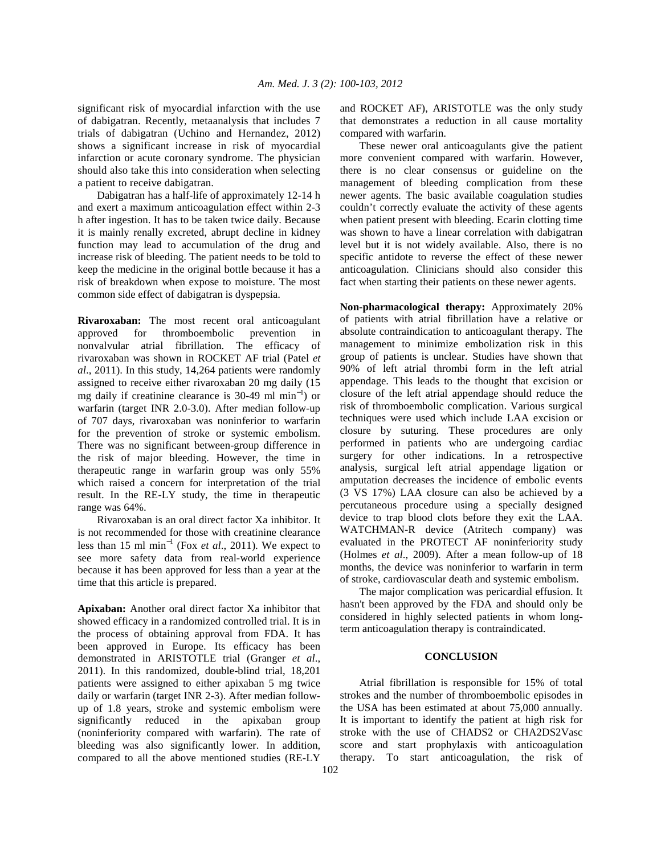significant risk of myocardial infarction with the use of dabigatran. Recently, metaanalysis that includes 7 trials of dabigatran (Uchino and Hernandez, 2012) shows a significant increase in risk of myocardial infarction or acute coronary syndrome. The physician should also take this into consideration when selecting a patient to receive dabigatran.

 Dabigatran has a half-life of approximately 12-14 h and exert a maximum anticoagulation effect within 2-3 h after ingestion. It has to be taken twice daily. Because it is mainly renally excreted, abrupt decline in kidney function may lead to accumulation of the drug and increase risk of bleeding. The patient needs to be told to keep the medicine in the original bottle because it has a risk of breakdown when expose to moisture. The most common side effect of dabigatran is dyspepsia.

**Rivaroxaban:** The most recent oral anticoagulant approved for thromboembolic prevention in nonvalvular atrial fibrillation. The efficacy of rivaroxaban was shown in ROCKET AF trial (Patel *et al*., 2011). In this study, 14,264 patients were randomly assigned to receive either rivaroxaban 20 mg daily (15 mg daily if creatinine clearance is 30-49 ml min<sup>−</sup><sup>1</sup> ) or warfarin (target INR 2.0-3.0). After median follow-up of 707 days, rivaroxaban was noninferior to warfarin for the prevention of stroke or systemic embolism. There was no significant between-group difference in the risk of major bleeding. However, the time in therapeutic range in warfarin group was only 55% which raised a concern for interpretation of the trial result. In the RE-LY study, the time in therapeutic range was 64%.

 Rivaroxaban is an oral direct factor Xa inhibitor. It is not recommended for those with creatinine clearance less than 15 ml min<sup>−</sup><sup>1</sup> (Fox *et al*., 2011). We expect to see more safety data from real-world experience because it has been approved for less than a year at the time that this article is prepared.

**Apixaban:** Another oral direct factor Xa inhibitor that showed efficacy in a randomized controlled trial. It is in the process of obtaining approval from FDA. It has been approved in Europe. Its efficacy has been demonstrated in ARISTOTLE trial (Granger *et al*., 2011). In this randomized, double-blind trial, 18,201 patients were assigned to either apixaban 5 mg twice daily or warfarin (target INR 2-3). After median followup of 1.8 years, stroke and systemic embolism were significantly reduced in the apixaban group (noninferiority compared with warfarin). The rate of bleeding was also significantly lower. In addition, compared to all the above mentioned studies (RE-LY

and ROCKET AF), ARISTOTLE was the only study that demonstrates a reduction in all cause mortality compared with warfarin.

 These newer oral anticoagulants give the patient more convenient compared with warfarin. However, there is no clear consensus or guideline on the management of bleeding complication from these newer agents. The basic available coagulation studies couldn't correctly evaluate the activity of these agents when patient present with bleeding. Ecarin clotting time was shown to have a linear correlation with dabigatran level but it is not widely available. Also, there is no specific antidote to reverse the effect of these newer anticoagulation. Clinicians should also consider this fact when starting their patients on these newer agents.

**Non-pharmacological therapy:** Approximately 20% of patients with atrial fibrillation have a relative or absolute contraindication to anticoagulant therapy. The management to minimize embolization risk in this group of patients is unclear. Studies have shown that 90% of left atrial thrombi form in the left atrial appendage. This leads to the thought that excision or closure of the left atrial appendage should reduce the risk of thromboembolic complication. Various surgical techniques were used which include LAA excision or closure by suturing. These procedures are only performed in patients who are undergoing cardiac surgery for other indications. In a retrospective analysis, surgical left atrial appendage ligation or amputation decreases the incidence of embolic events (3 VS 17%) LAA closure can also be achieved by a percutaneous procedure using a specially designed device to trap blood clots before they exit the LAA. WATCHMAN-R device (Atritech company) was evaluated in the PROTECT AF noninferiority study (Holmes *et al*., 2009). After a mean follow-up of 18 months, the device was noninferior to warfarin in term of stroke, cardiovascular death and systemic embolism.

 The major complication was pericardial effusion. It hasn't been approved by the FDA and should only be considered in highly selected patients in whom longterm anticoagulation therapy is contraindicated.

## **CONCLUSION**

 Atrial fibrillation is responsible for 15% of total strokes and the number of thromboembolic episodes in the USA has been estimated at about 75,000 annually. It is important to identify the patient at high risk for stroke with the use of CHADS2 or CHA2DS2Vasc score and start prophylaxis with anticoagulation therapy. To start anticoagulation, the risk of